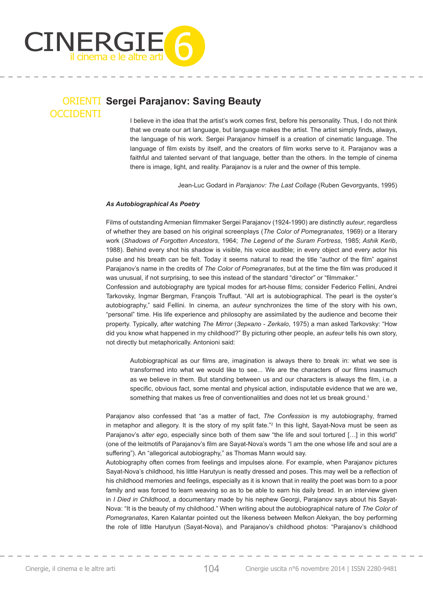

### ORIENTI **Sergei Parajanov: Saving Beauty OCCIDENTI**

I believe in the idea that the artist's work comes first, before his personality. Thus, I do not think that we create our art language, but language makes the artist. The artist simply finds, always, the language of his work. Sergei Parajanov himself is a creation of cinematic language. The language of film exists by itself, and the creators of film works serve to it. Parajanov was a faithful and talented servant of that language, better than the others. In the temple of cinema there is image, light, and reality. Parajanov is a ruler and the owner of this temple.

Jean-Luc Godard in *Parajanov: The Last Collage* (Ruben Gevorgyants, 1995)

### *As Autobiographical As Poetry*

Films of outstanding Armenian filmmaker Sergei Parajanov (1924-1990) are distinctly *auteur*, regardless of whether they are based on his original screenplays (*The Color of Pomegranates*, 1969) or a literary work (*Shadows of Forgotten Ancestors*, 1964; *The Legend of the Suram Fortress*, 1985; *Ashik Kerib*, 1988). Behind every shot his shadow is visible, his voice audible; in every object and every actor his pulse and his breath can be felt. Today it seems natural to read the title "author of the film" against Parajanov's name in the credits of *The Color of Pomegranates*, but at the time the film was produced it was unusual, if not surprising, to see this instead of the standard "director" or "filmmaker."

Confession and autobiography are typical modes for art-house films; consider Federico Fellini, Andrei Tarkovsky, Ingmar Bergman, François Truffaut. "All art is autobiographical. The pearl is the oyster's autobiography," said Fellini. In cinema, an *auteur* synchronizes the time of the story with his own, "personal" time. His life experience and philosophy are assimilated by the audience and become their property. Typically, after watching *The Mirror* (*Зеркало* - *Zerkalo*, 1975) a man asked Tarkovsky: "How did you know what happened in my childhood?" By picturing other people, an *auteur* tells his own story, not directly but metaphorically. Antonioni said:

Autobiographical as our films are, imagination is always there to break in: what we see is transformed into what we would like to see... We are the characters of our films inasmuch as we believe in them. But standing between us and our characters is always the film, i.e. a specific, obvious fact, some mental and physical action, indisputable evidence that we are we, something that makes us free of conventionalities and does not let us break ground.<sup>1</sup>

Parajanov also confessed that "as a matter of fact, *The Confession* is my autobiography, framed in metaphor and allegory. It is the story of my split fate."2 In this light, Sayat-Nova must be seen as Parajanov's *alter ego*, especially since both of them saw "the life and soul tortured [...] in this world" (one of the leitmotifs of Parajanov's film are Sayat-Nova's words "I am the one whose life and soul are a suffering"). An "allegorical autobiography," as Thomas Mann would say.

Autobiography often comes from feelings and impulses alone. For example, when Parajanov pictures Sayat-Nova's childhood, his little Harutyun is neatly dressed and poses. This may well be a reflection of his childhood memories and feelings, especially as it is known that in reality the poet was born to a poor family and was forced to learn weaving so as to be able to earn his daily bread. In an interview given in *I Died in Childhood*, a documentary made by his nephew Georgi, Parajanov says about his Sayat-Nova: "It is the beauty of my childhood." When writing about the autobiographical nature of *The Color of Pomegranates*, Karen Kalantar pointed out the likeness between Melkon Alekyan, the boy performing the role of little Harutyun (Sayat-Nova), and Parajanov's childhood photos: "Parajanov's childhood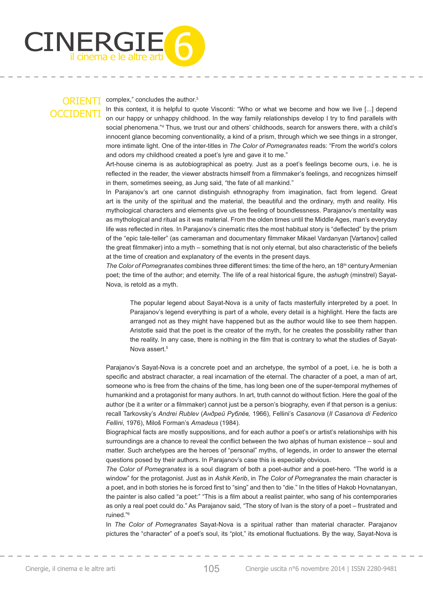

#### complex," concludes the author.<sup>3</sup>

In this context, it is helpful to quote Visconti: "Who or what we become and how we live [...] depend on our happy or unhappy childhood. In the way family relationships develop I try to find parallels with social phenomena."4 Thus, we trust our and others' childhoods, search for answers there, with a child's innocent glance becoming conventionality, a kind of a prism, through which we see things in a stronger, more intimate light. One of the inter-titles in *The Color of Pomegranates* reads: "From the world's colors and odors my childhood created a poet's lyre and gave it to me."

Art-house cinema is as autobiographical as poetry. Just as a poet's feelings become ours, i.e. he is reflected in the reader, the viewer abstracts himself from a filmmaker's feelings, and recognizes himself in them, sometimes seeing, as Jung said, "the fate of all mankind."

In Parajanov's art one cannot distinguish ethnography from imagination, fact from legend. Great art is the unity of the spiritual and the material, the beautiful and the ordinary, myth and reality. His mythological characters and elements give us the feeling of boundlessness. Parajanov's mentality was as mythological and ritual as it was material. From the olden times until the Middle Ages, man's everyday life was reflected in rites. In Parajanov's cinematic rites the most habitual story is "deflected" by the prism of the "epic tale-teller" (as cameraman and documentary filmmaker Mikael Vardanyan [Vartanov] called the great filmmaker) into a myth – something that is not only eternal, but also characteristic of the beliefs at the time of creation and explanatory of the events in the present days.

*The Color of Pomegranates* combines three different times: the time of the hero, an 18<sup>th</sup> century Armenian poet; the time of the author; and eternity. The life of a real historical figure, the *ashugh* (minstrel) Sayat-Nova, is retold as a myth.

The popular legend about Sayat-Nova is a unity of facts masterfully interpreted by a poet. In Parajanov's legend everything is part of a whole, every detail is a highlight. Here the facts are arranged not as they might have happened but as the author would like to see them happen. Aristotle said that the poet is the creator of the myth, for he creates the possibility rather than the reality. In any case, there is nothing in the film that is contrary to what the studies of Sayat-Nova assert.<sup>5</sup>

Parajanov's Sayat-Nova is a concrete poet and an archetype, the symbol of a poet, i.e. he is both a specific and abstract character, a real incarnation of the eternal. The character of a poet, a man of art, someone who is free from the chains of the time, has long been one of the super-temporal mythemes of humankind and a protagonist for many authors. In art, truth cannot do without fiction. Here the goal of the author (be it a writer or a filmmaker) cannot just be a person's biography, even if that person is a genius: recall Tarkovsky's *Andrei Rublev* (*Андрей Рублёв,* 1966), Fellini's *Casanova* (*Il Casanova di Federico Fellini*, 1976), Miloš Forman's *Amadeus* (1984).

Biographical facts are mostly suppositions, and for each author a poet's or artist's relationships with his surroundings are a chance to reveal the conflict between the two alphas of human existence – soul and matter. Such archetypes are the heroes of "personal" myths, of legends, in order to answer the eternal questions posed by their authors. In Parajanov's case this is especially obvious.

*The Color of Pomegranates* is a soul diagram of both a poet-author and a poet-hero. "The world is a window" for the protagonist. Just as in *Ashik Kerib*, in *The Color of Pomegranates* the main character is a poet, and in both stories he is forced first to "sing" and then to "die." In the titles of Hakob Hovnatanyan, the painter is also called "a poet:" "This is a film about a realist painter, who sang of his contemporaries as only a real poet could do." As Parajanov said, "The story of Ivan is the story of a poet – frustrated and ruined."6

In *The Color of Pomegranates* Sayat-Nova is a spiritual rather than material character. Parajanov pictures the "character" of a poet's soul, its "plot," its emotional fluctuations. By the way, Sayat-Nova is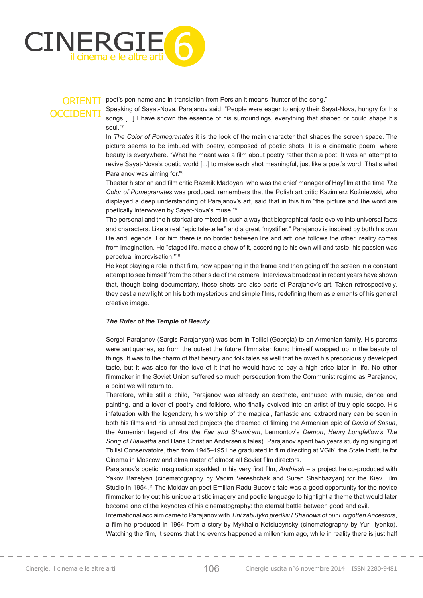

poet's pen-name and in translation from Persian it means "hunter of the song."

Speaking of Sayat-Nova, Parajanov said: "People were eager to enjoy their Sayat-Nova, hungry for his songs [...] I have shown the essence of his surroundings, everything that shaped or could shape his soul."7

In *The Color of Pomegranates* it is the look of the main character that shapes the screen space. The picture seems to be imbued with poetry, composed of poetic shots. It is a cinematic poem, where beauty is everywhere. "What he meant was a film about poetry rather than a poet. It was an attempt to revive Sayat-Nova's poetic world [...] to make each shot meaningful, just like a poet's word. That's what Parajanov was aiming for."8

Theater historian and film critic Razmik Madoyan, who was the chief manager of Hayfilm at the time The *Color of Pomegranates* was produced, remembers that the Polish art critic Kazimierz Koźniewski, who displayed a deep understanding of Parajanov's art, said that in this film "the picture and the word are poetically interwoven by Sayat-Nova's muse."9

The personal and the historical are mixed in such a way that biographical facts evolve into universal facts and characters. Like a real "epic tale-teller" and a great "mystifier," Parajanov is inspired by both his own life and legends. For him there is no border between life and art: one follows the other, reality comes from imagination. He "staged life, made a show of it, according to his own will and taste, his passion was perpetual improvisation."10

He kept playing a role in that film, now appearing in the frame and then going off the screen in a constant attempt to see himself from the other side of the camera. Interviews broadcast in recent years have shown that, though being documentary, those shots are also parts of Parajanov's art. Taken retrospectively, they cast a new light on his both mysterious and simple films, redefining them as elements of his general creative image.

### *The Ruler of the Temple of Beauty*

Sergei Parajanov (Sargis Parajanyan) was born in Tbilisi (Georgia) to an Armenian family. His parents were antiquaries, so from the outset the future filmmaker found himself wrapped up in the beauty of things. It was to the charm of that beauty and folk tales as well that he owed his precociously developed taste, but it was also for the love of it that he would have to pay a high price later in life. No other filmmaker in the Soviet Union suffered so much persecution from the Communist regime as Parajanov, a point we will return to.

Therefore, while still a child, Parajanov was already an aesthete, enthused with music, dance and painting, and a lover of poetry and folklore, who finally evolved into an artist of truly epic scope. His infatuation with the legendary, his worship of the magical, fantastic and extraordinary can be seen in both his films and his unrealized projects (he dreamed of filming the Armenian epic of *David of Sasun*, the Armenian legend of *Ara the Fair and Shamiram*, Lermontov's *Demon*, *Henry Longfellow's The Song of Hiawatha* and Hans Christian Andersen's tales). Parajanov spent two years studying singing at Tbilisi Conservatoire, then from 1945–1951 he graduated in film directing at VGIK, the State Institute for Cinema in Moscow and alma mater of almost all Soviet film directors.

Parajanov's poetic imagination sparkled in his very first film, *Andriesh* – a project he co-produced with Yakov Bazelyan (cinematography by Vadim Vereshchak and Suren Shahbazyan) for the Kiev Film Studio in 1954.<sup>11</sup> The Moldavian poet Emilian Radu Bucov's tale was a good opportunity for the novice filmmaker to try out his unique artistic imagery and poetic language to highlight a theme that would later become one of the keynotes of his cinematography: the eternal battle between good and evil.

International acclaim came to Parajanov with *Tini zabutykh predkiv* / *Shadows of our Forgotten Ancestors*, a film he produced in 1964 from a story by Mykhailo Kotsiubynsky (cinematography by Yuri Ilyenko). Watching the film, it seems that the events happened a millennium ago, while in reality there is just half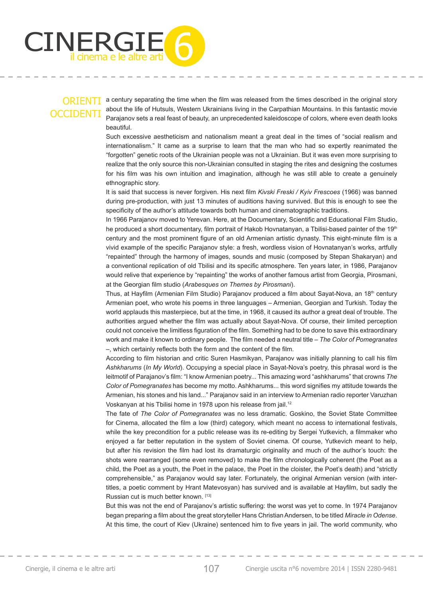

a century separating the time when the film was released from the times described in the original story about the life of Hutsuls, Western Ukrainians living in the Carpathian Mountains. In this fantastic movie Parajanov sets a real feast of beauty, an unprecedented kaleidoscope of colors, where even death looks beautiful.

Such excessive aestheticism and nationalism meant a great deal in the times of "social realism and internationalism." It came as a surprise to learn that the man who had so expertly reanimated the "forgotten" genetic roots of the Ukrainian people was not a Ukrainian. But it was even more surprising to realize that the only source this non-Ukrainian consulted in staging the rites and designing the costumes for his film was his own intuition and imagination, although he was still able to create a genuinely ethnographic story.

It is said that success is never forgiven. His next film *Kivski Freski / Kyiv Frescoes* (1966) was banned during pre-production, with just 13 minutes of auditions having survived. But this is enough to see the specificity of the author's attitude towards both human and cinematographic traditions.

In 1966 Parajanov moved to Yerevan. Here, at the Documentary, Scientific and Educational Film Studio, he produced a short documentary, film portrait of Hakob Hovnatanyan, a Tbilisi-based painter of the 19th century and the most prominent figure of an old Armenian artistic dynasty. This eight-minute film is a vivid example of the specific Parajanov style: a fresh, wordless vision of Hovnatanyan's works, artfully "repainted" through the harmony of images, sounds and music (composed by Stepan Shakaryan) and a conventional replication of old Tbilisi and its specific atmosphere. Ten years later, in 1986, Parajanov would relive that experience by "repainting" the works of another famous artist from Georgia, Pirosmani, at the Georgian film studio (*Arabesques on Themes by Pirosmani*).

Thus, at Hayfilm (Armenian Film Studio) Parajanov produced a film about Sayat-Nova, an 18<sup>th</sup> century Armenian poet, who wrote his poems in three languages – Armenian, Georgian and Turkish. Today the world applauds this masterpiece, but at the time, in 1968, it caused its author a great deal of trouble. The authorities argued whether the film was actually about Sayat-Nova. Of course, their limited perception could not conceive the limitless figuration of the film. Something had to be done to save this extraordinary work and make it known to ordinary people. The film needed a neutral title – The Color of Pomegranates  $-$ , which certainly reflects both the form and the content of the film.

According to film historian and critic Suren Hasmikyan, Parajanov was initially planning to call his film *Ashkharums* (*In My World*). Occupying a special place in Sayat-Nova's poetry, this phrasal word is the leitmotif of Parajanov's film: "I know Armenian poetry... This amazing word "ashkharums" that crowns The *Color of Pomegranates* has become my motto. Ashkharums... this word signifies my attitude towards the Armenian, his stones and his land..." Parajanov said in an interview to Armenian radio reporter Varuzhan Voskanyan at his Tbilisi home in 1978 upon his release from jail.12

The fate of *The Color of Pomegranates* was no less dramatic. Goskino, the Soviet State Committee for Cinema, allocated the film a low (third) category, which meant no access to international festivals, while the key precondition for a public release was its re-editing by Sergei Yutkevich, a filmmaker who enjoyed a far better reputation in the system of Soviet cinema. Of course, Yutkevich meant to help, but after his revision the film had lost its dramaturgic originality and much of the author's touch: the shots were rearranged (some even removed) to make the film chronologically coherent (the Poet as a child, the Poet as a youth, the Poet in the palace, the Poet in the cloister, the Poet's death) and "strictly comprehensible," as Parajanov would say later. Fortunately, the original Armenian version (with intertitles, a poetic comment by Hrant Matevosyan) has survived and is available at Hayfilm, but sadly the Russian cut is much better known. [13]

But this was not the end of Parajanov's artistic suffering: the worst was yet to come. In 1974 Parajanov began preparing a film about the great storyteller Hans Christian Andersen, to be titled *Miracle in Odense*. At this time, the court of Kiev (Ukraine) sentenced him to five years in jail. The world community, who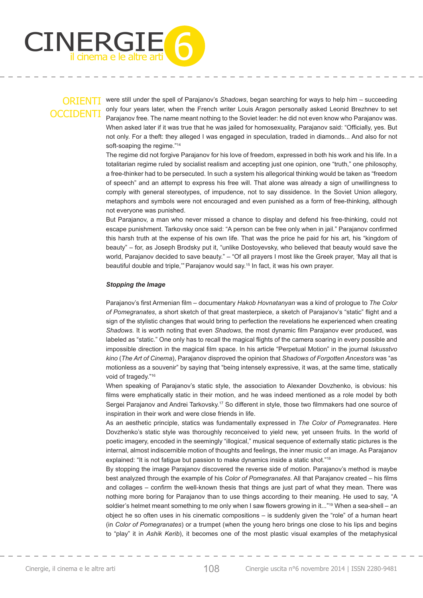

were still under the spell of Parajanov's *Shadows*, began searching for ways to help him – succeeding only four years later, when the French writer Louis Aragon personally asked Leonid Brezhnev to set Parajanov free. The name meant nothing to the Soviet leader: he did not even know who Parajanov was. When asked later if it was true that he was jailed for homosexuality, Parajanov said: "Officially, yes. But not only. For a theft: they alleged I was engaged in speculation, traded in diamonds... And also for not soft-soaping the regime."<sup>14</sup>

The regime did not forgive Parajanov for his love of freedom, expressed in both his work and his life. In a totalitarian regime ruled by socialist realism and accepting just one opinion, one "truth," one philosophy, a free-thinker had to be persecuted. In such a system his allegorical thinking would be taken as "freedom of speech" and an attempt to express his free will. That alone was already a sign of unwillingness to comply with general stereotypes, of impudence, not to say dissidence. In the Soviet Union allegory, metaphors and symbols were not encouraged and even punished as a form of free-thinking, although not everyone was punished.

But Parajanov, a man who never missed a chance to display and defend his free-thinking, could not escape punishment. Tarkovsky once said: "A person can be free only when in jail." Parajanov confirmed this harsh truth at the expense of his own life. That was the price he paid for his art, his "kingdom of beauty" – for, as Joseph Brodsky put it, "unlike Dostoyevsky, who believed that beauty would save the world, Parajanov decided to save beauty." – "Of all prayers I most like the Greek prayer, 'May all that is beautiful double and triple," Parajanov would say.<sup>15</sup> In fact, it was his own prayer.

#### *Stopping the Image*

Parajanov's first Armenian film – documentary Hakob Hovnatanyan was a kind of prologue to The Color *of Pomegranates*, a short sketch of that great masterpiece, a sketch of Parajanov's "static" flight and a sign of the stylistic changes that would bring to perfection the revelations he experienced when creating *Shadows.* It is worth noting that even *Shadows*, the most dynamic film Parajanov ever produced, was labeled as "static." One only has to recall the magical flights of the camera soaring in every possible and impossible direction in the magical film space. In his article "Perpetual Motion" in the journal *Iskusstvo kino* (*The Art of Cinema*), Parajanov disproved the opinion that *Shadows of Forgotten Ancestors* was "as motionless as a souvenir" by saying that "being intensely expressive, it was, at the same time, statically void of tragedy."16

When speaking of Parajanov's static style, the association to Alexander Dovzhenko, is obvious: his films were emphatically static in their motion, and he was indeed mentioned as a role model by both Sergei Parajanov and Andrei Tarkovsky.<sup>17</sup> So different in style, those two filmmakers had one source of inspiration in their work and were close friends in life.

As an aesthetic principle, statics was fundamentally expressed in *The Color of Pomegranates*. Here Dovzhenko's static style was thoroughly reconceived to yield new, yet unseen fruits. In the world of poetic imagery, encoded in the seemingly "illogical," musical sequence of externally static pictures is the internal, almost indiscernible motion of thoughts and feelings, the inner music of an image. As Parajanov explained: "It is not fatigue but passion to make dynamics inside a static shot."18

By stopping the image Parajanov discovered the reverse side of motion. Parajanov's method is maybe best analyzed through the example of his *Color of Pomegranates*. All that Parajanov created – his films and collages – confirm the well-known thesis that things are just part of what they mean. There was nothing more boring for Parajanov than to use things according to their meaning. He used to say, "A soldier's helmet meant something to me only when I saw flowers growing in it..."<sup>19</sup> When a sea-shell – an object he so often uses in his cinematic compositions – is suddenly given the "role" of a human heart (in *Color of Pomegranates*) or a trumpet (when the young hero brings one close to his lips and begins to "play" it in *Ashik Kerib*), it becomes one of the most plastic visual examples of the metaphysical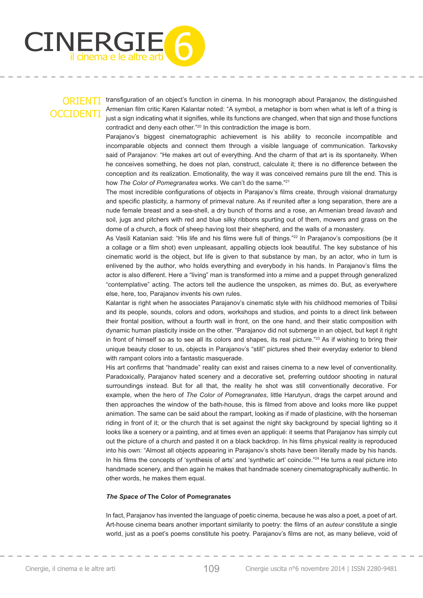

transfiguration of an object's function in cinema. In his monograph about Parajanov, the distinguished Armenian film critic Karen Kalantar noted: "A symbol, a metaphor is born when what is left of a thing is just a sign indicating what it signifies, while its functions are changed, when that sign and those functions contradict and deny each other."20 In this contradiction the image is born.

Parajanov's biggest cinematographic achievement is his ability to reconcile incompatible and incomparable objects and connect them through a visible language of communication. Tarkovsky said of Parajanov: "He makes art out of everything. And the charm of that art is its spontaneity. When he conceives something, he does not plan, construct, calculate it; there is no difference between the conception and its realization. Emotionality, the way it was conceived remains pure till the end. This is how *The Color of Pomegranates* works. We can't do the same."21

The most incredible configurations of objects in Parajanov's films create, through visional dramaturgy and specific plasticity, a harmony of primeval nature. As if reunited after a long separation, there are a nude female breast and a sea-shell, a dry bunch of thorns and a rose, an Armenian bread *lavash* and soil, jugs and pitchers with red and blue silky ribbons spurting out of them, mowers and grass on the dome of a church, a flock of sheep having lost their shepherd, and the walls of a monastery.

As Vasili Katanian said: "His life and his films were full of things."<sup>22</sup> In Parajanov's compositions (be it a collage or a film shot) even unpleasant, appalling objects look beautiful. The key substance of his cinematic world is the object, but life is given to that substance by man, by an actor, who in turn is enlivened by the author, who holds everything and everybody in his hands. In Parajanov's films the actor is also different. Here a "living" man is transformed into a mime and a puppet through generalized "contemplative" acting. The actors tell the audience the unspoken, as mimes do. But, as everywhere else, here, too, Parajanov invents his own rules.

Kalantar is right when he associates Parajanov's cinematic style with his childhood memories of Tbilisi and its people, sounds, colors and odors, workshops and studios, and points to a direct link between their frontal position, without a fourth wall in front, on the one hand, and their static composition with dynamic human plasticity inside on the other. "Parajanov did not submerge in an object, but kept it right in front of himself so as to see all its colors and shapes, its real picture."<sup>23</sup> As if wishing to bring their unique beauty closer to us, objects in Parajanov's "still" pictures shed their everyday exterior to blend with rampant colors into a fantastic masquerade.

His art confirms that "handmade" reality can exist and raises cinema to a new level of conventionality. Paradoxically, Parajanov hated scenery and a decorative set, preferring outdoor shooting in natural surroundings instead. But for all that, the reality he shot was still conventionally decorative. For example, when the hero of *The Color of Pomegranates*, little Harutyun, drags the carpet around and then approaches the window of the bath-house, this is filmed from above and looks more like puppet animation. The same can be said about the rampart, looking as if made of plasticine, with the horseman riding in front of it; or the church that is set against the night sky background by special lighting so it looks like a scenery or a painting, and at times even an appliqué: it seems that Parajanov has simply cut out the picture of a church and pasted it on a black backdrop. In his films physical reality is reproduced into his own: "Almost all objects appearing in Parajanov's shots have been literally made by his hands. In his films the concepts of 'synthesis of arts' and 'synthetic art' coincide."<sup>24</sup> He turns a real picture into handmade scenery, and then again he makes that handmade scenery cinematographically authentic. In other words, he makes them equal.

#### *The Space of* **The Color of Pomegranates**

In fact, Parajanov has invented the language of poetic cinema, because he was also a poet, a poet of art. Art-house cinema bears another important similarity to poetry: the films of an *auteur* constitute a single world, just as a poet's poems constitute his poetry. Parajanoy's films are not, as many believe, void of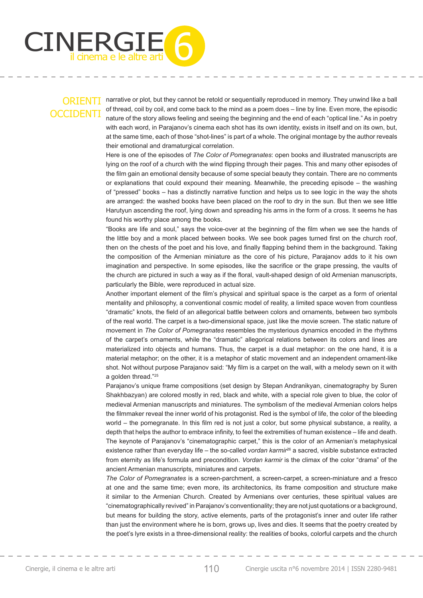

narrative or plot, but they cannot be retold or sequentially reproduced in memory. They unwind like a ball of thread, coil by coil, and come back to the mind as a poem does – line by line. Even more, the episodic nature of the story allows feeling and seeing the beginning and the end of each "optical line." As in poetry with each word, in Parajanov's cinema each shot has its own identity, exists in itself and on its own, but, at the same time, each of those "shot-lines" is part of a whole. The original montage by the author reveals their emotional and dramaturgical correlation.

Here is one of the episodes of *The Color of Pomegranates*: open books and illustrated manuscripts are lying on the roof of a church with the wind flipping through their pages. This and many other episodes of the film gain an emotional density because of some special beauty they contain. There are no comments or explanations that could expound their meaning. Meanwhile, the preceding episode – the washing of "pressed" books – has a distinctly narrative function and helps us to see logic in the way the shots are arranged: the washed books have been placed on the roof to dry in the sun. But then we see little Harutyun ascending the roof, lying down and spreading his arms in the form of a cross. It seems he has found his worthy place among the books.

"Books are life and soul," says the voice-over at the beginning of the film when we see the hands of the little boy and a monk placed between books. We see book pages turned first on the church roof, then on the chests of the poet and his love, and finally flapping behind them in the background. Taking the composition of the Armenian miniature as the core of his picture, Parajanov adds to it his own imagination and perspective. In some episodes, like the sacrifice or the grape pressing, the vaults of the church are pictured in such a way as if the floral, vault-shaped design of old Armenian manuscripts, particularly the Bible, were reproduced in actual size.

Another important element of the film's physical and spiritual space is the carpet as a form of oriental mentality and philosophy, a conventional cosmic model of reality, a limited space woven from countless "dramatic" knots, the field of an allegorical battle between colors and ornaments, between two symbols of the real world. The carpet is a two-dimensional space, just like the movie screen. The static nature of movement in *The Color of Pomegranates* resembles the mysterious dynamics encoded in the rhythms of the carpet's ornaments, while the "dramatic" allegorical relations between its colors and lines are materialized into objects and humans. Thus, the carpet is a dual metaphor: on the one hand, it is a material metaphor; on the other, it is a metaphor of static movement and an independent ornament-like shot. Not without purpose Parajanov said: "My film is a carpet on the wall, with a melody sewn on it with a golden thread."25

Parajanov's unique frame compositions (set design by Stepan Andranikyan, cinematography by Suren Shakhbazyan) are colored mostly in red, black and white, with a special role given to blue, the color of medieval Armenian manuscripts and miniatures. The symbolism of the medieval Armenian colors helps the filmmaker reveal the inner world of his protagonist. Red is the symbol of life, the color of the bleeding world – the pomegranate. In this film red is not just a color, but some physical substance, a reality, a depth that helps the author to embrace infinity, to feel the extremities of human existence – life and death. The keynote of Parajanov's "cinematographic carpet," this is the color of an Armenian's metaphysical existence rather than everyday life – the so-called *vordan karmir*26 а sacred, visible substance extracted from eternity as life's formula and precondition. *Vordan karmir* is the climax of the color "drama" of the ancient Armenian manuscripts, miniatures and carpets.

*The Color of Pomegranates* is a screen-parchment, a screen-carpet, a screen-miniature and a fresco at one and the same time; even more, its architectonics, its frame composition and structure make it similar to the Armenian Church. Created by Armenians over centuries, these spiritual values are "cinematographically revived" in Parajanov's conventionality; they are not just quotations or a background, but means for building the story, active elements, parts of the protagonist's inner and outer life rather than just the environment where he is born, grows up, lives and dies. It seems that the poetry created by the poet's lyre exists in a three-dimensional reality: the realities of books, colorful carpets and the church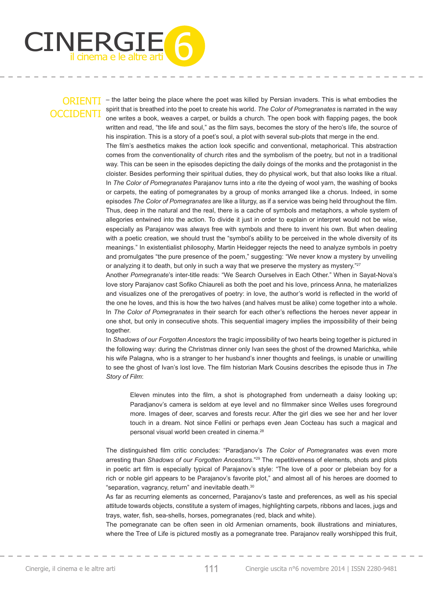

– the latter being the place where the poet was killed by Persian invaders. This is what embodies the spirit that is breathed into the poet to create his world. *The Color of Pomegranates* is narrated in the way one writes a book, weaves a carpet, or builds a church. The open book with flapping pages, the book written and read, "the life and soul," as the film says, becomes the story of the hero's life, the source of his inspiration. This is a story of a poet's soul, a plot with several sub-plots that merge in the end.

The film's aesthetics makes the action look specific and conventional, metaphorical. This abstraction comes from the conventionality of church rites and the symbolism of the poetry, but not in a traditional way. This can be seen in the episodes depicting the daily doings of the monks and the protagonist in the cloister. Besides performing their spiritual duties, they do physical work, but that also looks like a ritual. In *The Color of Pomegranates* Parajanov turns into a rite the dyeing of wool yarn, the washing of books or carpets, the eating of pomegranates by a group of monks arranged like a chorus. Indeed, in some episodes *The Color of Pomegranates* are like a liturgy, as if a service was being held throughout the film. Thus, deep in the natural and the real, there is a cache of symbols and metaphors, a whole system of allegories entwined into the action. To divide it just in order to explain or interpret would not be wise, especially as Parajanov was always free with symbols and there to invent his own. But when dealing with a poetic creation, we should trust the "symbol's ability to be perceived in the whole diversity of its meanings." In existentialist philosophy, Martin Heidegger rejects the need to analyze symbols in poetry and promulgates "the pure presence of the poem," suggesting: "We never know a mystery by unveiling or analyzing it to death, but only in such a way that we preserve the mystery as mystery."<sup>27</sup>

Another *Pomegranate*'s inter-title reads: "We Search Ourselves in Each Other." When in Sayat-Nova's love story Parajanov cast Sofiko Chiaureli as both the poet and his love, princess Anna, he materializes and visualizes one of the prerogatives of poetry: in love, the author's world is reflected in the world of the one he loves, and this is how the two halves (and halves must be alike) come together into a whole. In *The Color of Pomegranates* in their search for each other's reflections the heroes never appear in one shot, but only in consecutive shots. This sequential imagery implies the impossibility of their being together.

In *Shadows of our Forgotten Ancestors* the tragic impossibility of two hearts being together is pictured in the following way: during the Christmas dinner only Ivan sees the ghost of the drowned Marichka, while his wife Palagna, who is a stranger to her husband's inner thoughts and feelings, is unable or unwilling to see the ghost of Ivan's lost love. The film historian Mark Cousins describes the episode thus in The *Story of Film*:

Eleven minutes into the film, a shot is photographed from underneath a daisy looking up; Paradjanov's camera is seldom at eye level and no filmmaker since Welles uses foreground more. Images of deer, scarves and forests recur. After the girl dies we see her and her lover touch in a dream. Not since Fellini or perhaps even Jean Cocteau has such a magical and personal visual world been created in cinema.28

The distinguished film critic concludes: "Paradjanov's *The Color of Pomegranates* was even more arresting than *Shadows of our Forgotten Ancestors*."29 The repetitiveness of elements, shots and plots in poetic art film is especially typical of Parajanov's style: "The love of a poor or plebeian boy for a rich or noble girl appears to be Parajanov's favorite plot," and almost all of his heroes are doomed to "separation, vagrancy, return" and inevitable death.30

As far as recurring elements as concerned, Parajanov's taste and preferences, as well as his special attitude towards objects, constitute a system of images, highlighting carpets, ribbons and laces, jugs and trays, water, fish, sea-shells, horses, pomegranates (red, black and white).

The pomegranate can be often seen in old Armenian ornaments, book illustrations and miniatures, where the Tree of Life is pictured mostly as a pomegranate tree. Parajanov really worshipped this fruit,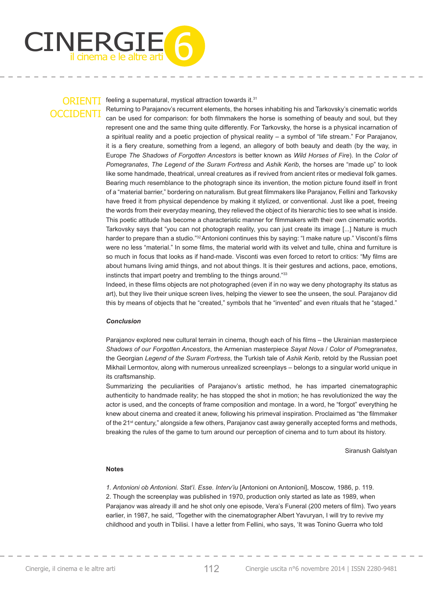

feeling a supernatural, mystical attraction towards it.31

Returning to Parajanov's recurrent elements, the horses inhabiting his and Tarkovsky's cinematic worlds can be used for comparison: for both filmmakers the horse is something of beauty and soul, but they represent one and the same thing quite differently. For Tarkovsky, the horse is a physical incarnation of a spiritual reality and a poetic projection of physical reality – a symbol of "life stream." For Parajanov, it is a fiery creature, something from a legend, an allegory of both beauty and death (by the way, in Europe *The Shadows of Forgotten Ancestors* is better known as *Wild Horses of Fire*). In the *Color of Pomegranates*, *The Legend of the Suram Fortress* and *Ashik Kerib*, the horses are "made up" to look like some handmade, theatrical, unreal creatures as if revived from ancient rites or medieval folk games. Bearing much resemblance to the photograph since its invention, the motion picture found itself in front of a "material barrier," bordering on naturalism. But great filmmakers like Parajanov, Fellini and Tarkovsky have freed it from physical dependence by making it stylized, or conventional. Just like a poet, freeing the words from their everyday meaning, they relieved the object of its hierarchic ties to see what is inside. This poetic attitude has become a characteristic manner for filmmakers with their own cinematic worlds. Tarkovsky says that "you can not photograph reality, you can just create its image [...] Nature is much harder to prepare than a studio."<sup>32</sup> Antonioni continues this by saying: "I make nature up." Visconti's films were no less "material." In some films, the material world with its velvet and tulle, china and furniture is so much in focus that looks as if hand-made. Visconti was even forced to retort to critics: "My films are about humans living amid things, and not about things. It is their gestures and actions, pace, emotions, instincts that impart poetry and trembling to the things around."33

Indeed, in these films objects are not photographed (even if in no way we deny photography its status as art), but they live their unique screen lives, helping the viewer to see the unseen, the soul. Parajanov did this by means of objects that he "created," symbols that he "invented" and even rituals that he "staged."

#### *Conclusion*

Parajanov explored new cultural terrain in cinema, though each of his films – the Ukrainian masterpiece *Shadows of our Forgotten Ancestors*, the Armenian masterpiece *Sayat Nova* / *Color of Pomegranates*, the Georgian *Legend of the Suram Fortress*, the Turkish tale of *Ashik Kerib*, retold by the Russian poet Mikhail Lermontov, along with numerous unrealized screenplays – belongs to a singular world unique in its craftsmanship.

Summarizing the peculiarities of Parajanov's artistic method, he has imparted cinematographic authenticity to handmade reality; he has stopped the shot in motion; he has revolutionized the way the actor is used, and the concepts of frame composition and montage. In a word, he "forgot" everything he knew about cinema and created it anew, following his primeval inspiration. Proclaimed as "the filmmaker of the 21<sup>st</sup> century," alongside a few others, Parajanov cast away generally accepted forms and methods, breaking the rules of the game to turn around our perception of cinema and to turn about its history.

Siranush Galstyan

#### **Notes**

*1. Antonioni ob Antonioni. Stat'i. Esse. Interv'iu* [Antonioni on Antonioni], Moscow, 1986, p. 119. 2. Though the screenplay was published in 1970, production only started as late as 1989, when Parajanov was already ill and he shot only one episode, Vera's Funeral (200 meters of film). Two years earlier, in 1987, he said, "Together with the cinematographer Albert Yavuryan, I will try to revive my childhood and youth in Tbilisi. I have a letter from Fellini, who says, 'It was Tonino Guerra who told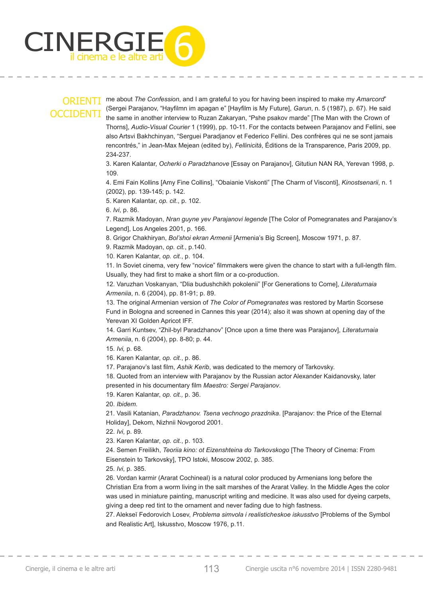

me about *The Confession*, and I am grateful to you for having been inspired to make my *Amarcord*" (Sergei Parajanov, "Hayfilmn im apagan e" [Hayfilm is My Future], *Garun*, n. 5 (1987), p. 67). He said the same in another interview to Ruzan Zakaryan, "Pshe psakov marde" [The Man with the Crown of Thorns], *Audio-Visual Courier* 1 (1999), pp. 10-11. For the contacts between Parajanov and Fellini, see also Artsvi Bakhchinyan, "Serguei Paradjanov et Federico Fellini. Des confrères qui ne se sont jamais rencontrés," in Jean-Max Mejean (edited by), *Fellinicità*, Éditions de la Transparence, Paris 2009, pp. 234-237.

3. Karen Kalantar, *Ocherki o Paradzhanove* [Essay on Parajanov], Gitutiun NAN RA, Yerevan 1998, p. 109.

4. Emi Fain Kollins [Amy Fine Collins], "Obaianie Viskonti" [The Charm of Visconti], *Kinostsenarii*, n. 1 (2002), pp. 139-145; p. 142.

5. Karen Kalantar, *op. cit*., p. 102.

6. *Ivi*, p. 86.

7. Razmik Madoyan, *Nran guyne yev Parajanovi legende* [The Color of Pomegranates and Parajanov's Legend], Los Angeles 2001, p. 166.

8. Grigor Chakhiryan, *Bol'shoi ekran Armenii* [Armenia's Big Screen], Moscow 1971, p. 87.

9. Razmik Madoyan, *op. cit.*, p.140.

10. Karen Kalantar, *op. cit.*, p. 104.

11. In Soviet cinema, very few "novice" filmmakers were given the chance to start with a full-length film. Usually, they had first to make a short film or a co-production.

12. Varuzhan Voskanyan, "Dlia budushchikh pokolenii" [For Generations to Come], *Literaturnaia Armeniia*, n. 6 (2004), pp. 81-91; p. 89.

13. The original Armenian version of *The Color of Pomegranates* was restored by Martin Scorsese Fund in Bologna and screened in Cannes this year (2014); also it was shown at opening day of the Yerevan XI Golden Apricot IFF.

14. Garri Kuntsev, "Zhil-byl Paradzhanov" [Once upon a time there was Parajanov], *Literaturnaia Armeniia*, n. 6 (2004), pp. 8-80; p. 44.

15. *Ivi,* p. 68.

16. Karen Kalantar, *op. cit.*, p. 86.

17. Parajanov's last film, Ashik Kerib, was dedicated to the memory of Tarkovsky.

18. Quoted from an interview with Parajanov by the Russian actor Alexander Kaidanovsky, later presented in his documentary film *Maestro: Sergei Parajanov*.

19. Karen Kalantar, *op. cit.,* p. 36.

20. *Ibidem*.

21. Vasili Katanian, *Paradzhanov. Tsena vechnogo prazdnika*. [Parajanov: the Price of the Eternal Holiday], Dekom, Nizhnii Novgorod 2001.

22. *Ivi*, p. 89.

23. Karen Kalantar, *op. cit.*, p. 103.

24. Semen Freilikh, *Teoriia kino: ot Eizenshteina do Tarkovskogo* [The Theory of Cinema: From Eisenstein to Tarkovsky], TPO Istoki, Moscow 2002, p. 385.

25. *Ivi*, p. 385.

26. Vordan karmir (Ararat Cochineal) is a natural color produced by Armenians long before the Christian Era from a worm living in the salt marshes of the Ararat Valley. In the Middle Ages the color was used in miniature painting, manuscript writing and medicine. It was also used for dyeing carpets, giving a deep red tint to the ornament and never fading due to high fastness.

27. Alekseĭ Fedorovich Losev, *Problema simvola i realisticheskoe iskusstvo* [Problems of the Symbol and Realistic Art], Iskusstvo, Moscow 1976, p.11.